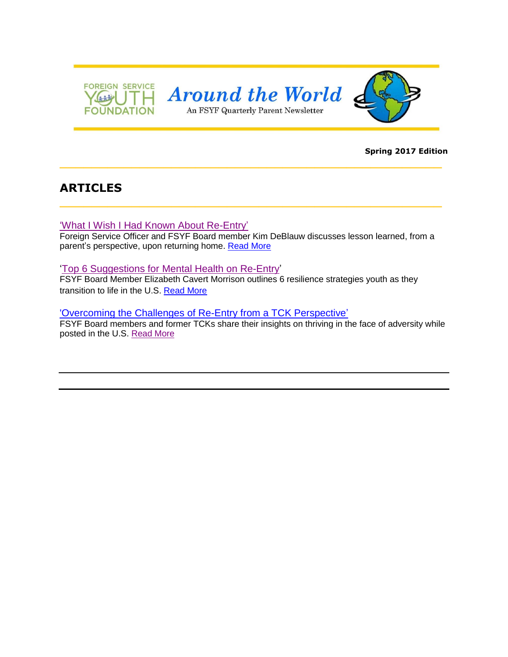

#### **Spring 2017 Edition**

# **ARTICLES**

['What I Wish I Had Known About Re-Entry'](http://www.fsyf.org/resources/newsletters/Parent%20Newsletter%20Spring%202017/What%20I%20Wish%20I%20Had%20Known%20About%20Re-Entry.pdf)

Foreign Service Officer and FSYF Board member Kim DeBlauw discusses lesson learned, from a parent's perspective, upon returning home. [Read More](http://www.fsyf.org/resources/newsletters/Parent%20Newsletter%20Spring%202017/What%20I%20Wish%20I%20Had%20Known%20About%20Re-Entry.pdf)

**\_\_\_\_\_\_\_\_\_\_\_\_\_\_\_\_\_\_\_\_\_\_\_\_\_\_\_\_\_\_\_\_\_\_\_\_\_\_\_\_\_\_\_\_\_\_\_\_**

**\_\_\_\_\_\_\_\_\_\_\_\_\_\_\_\_\_\_\_\_\_\_\_\_\_\_\_\_\_\_\_\_\_\_\_\_\_\_\_\_\_\_\_\_\_\_\_\_**

### 'Top 6 Suggestions for [Mental Health on Re-Entry'](http://www.fsyf.org/resources/newsletters/Parent%20Newsletter%20Spring%202017/Top%206%20suggestions%20for%20Mental%20Health%20on%20Re-Entry.pdf)

FSYF Board Member Elizabeth Cavert Morrison outlines 6 resilience strategies youth as they transition to life in the U.S. [Read More](http://www.fsyf.org/resources/newsletters/Parent%20Newsletter%20Spring%202017/Top%206%20suggestions%20for%20Mental%20Health%20on%20Re-Entry.pdf)

#### 'Overcoming the [Challenges of Re-Entry from a TCK Perspective'](http://www.fsyf.org/resources/newsletters/Parent%20Newsletter%20Spring%202017/Overcoming%20the%20Challenges%20of%20Re-Entry%20from%20a%20TCK%20Perspective.pdf)

FSYF Board members and former TCKs share their insights on thriving in the face of adversity while posted in the U.S. [Read More](http://www.fsyf.org/resources/newsletters/Parent%20Newsletter%20Spring%202017/Overcoming%20the%20Challenges%20of%20Re-Entry%20from%20a%20TCK%20Perspective.pdf)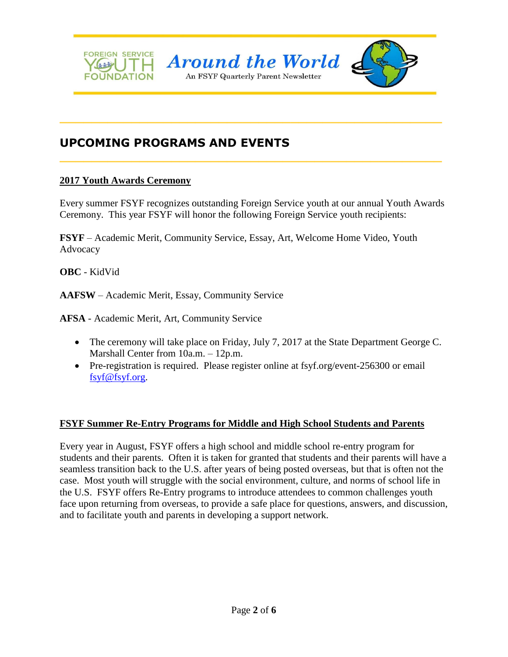

**\_\_\_\_\_\_\_\_\_\_\_\_\_\_\_\_\_\_\_\_\_\_\_\_\_\_\_\_\_\_\_\_\_\_\_\_\_\_\_\_\_\_\_\_\_\_\_\_**

**\_\_\_\_\_\_\_\_\_\_\_\_\_\_\_\_\_\_\_\_\_\_\_\_\_\_\_\_\_\_\_\_\_\_\_\_\_\_\_\_\_\_\_\_\_\_\_\_**

# **UPCOMING PROGRAMS AND EVENTS**

## **2017 Youth Awards Ceremony**

Every summer FSYF recognizes outstanding Foreign Service youth at our annual Youth Awards Ceremony. This year FSYF will honor the following Foreign Service youth recipients:

**FSYF** – Academic Merit, Community Service, Essay, Art, Welcome Home Video, Youth Advocacy

**OBC** - KidVid

**AAFSW** – Academic Merit, Essay, Community Service

**AFSA** - Academic Merit, Art, Community Service

- The ceremony will take place on Friday, July 7, 2017 at the State Department George C. Marshall Center from 10a.m. – 12p.m.
- Pre-registration is required. Please register online at fsyf.org/event-256300 or email [fsyf@fsyf.org.](mailto:fsyf@fsyf.org)

### **FSYF Summer Re-Entry Programs for Middle and High School Students and Parents**

Every year in August, FSYF offers a high school and middle school re-entry program for students and their parents. Often it is taken for granted that students and their parents will have a seamless transition back to the U.S. after years of being posted overseas, but that is often not the case. Most youth will struggle with the social environment, culture, and norms of school life in the U.S. FSYF offers Re-Entry programs to introduce attendees to common challenges youth face upon returning from overseas, to provide a safe place for questions, answers, and discussion, and to facilitate youth and parents in developing a support network.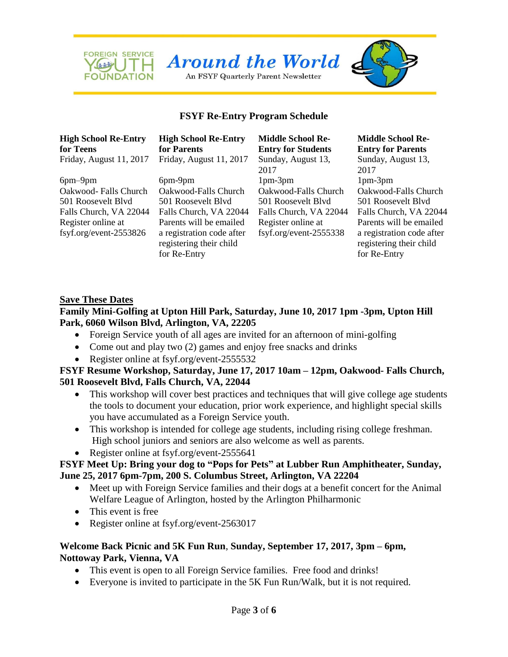

## **FSYF Re-Entry Program Schedule**

# **High School Re-Entry for Teens**

Register online at fsyf.org/event-2553826

**High School Re-Entry for Parents** Friday, August 11, 2017 Friday, August 11, 2017 Sunday, August 13,

6pm–9pm 6pm-9pm 1pm-3pm 1pm-3pm Oakwood- Falls Church Oakwood-Falls Church Oakwood-Falls Church Oakwood-Falls Church 501 Roosevelt Blvd 501 Roosevelt Blvd 501 Roosevelt Blvd 501 Roosevelt Blvd Falls Church, VA 22044 Falls Church, VA 22044 Falls Church, VA 22044 Falls Church, VA 22044 Parents will be emailed a registration code after registering their child for Re-Entry

**Middle School Re-Entry for Students** 2017 Register online at fsyf.org/event-2555338

# **Middle School Re-Entry for Parents** Sunday, August 13, 2017 Parents will be emailed a registration code after registering their child for Re-Entry

#### **Save These Dates**

## **Family Mini-Golfing at Upton Hill Park, Saturday, June 10, 2017 1pm -3pm, Upton Hill Park, 6060 Wilson Blvd, Arlington, VA, 22205**

- Foreign Service youth of all ages are invited for an afternoon of mini-golfing
- Come out and play two (2) games and enjoy free snacks and drinks
- Register online at fsyf.org/event-2555532

## **FSYF Resume Workshop, Saturday, June 17, 2017 10am – 12pm, Oakwood- Falls Church, 501 Roosevelt Blvd, Falls Church, VA, 22044**

- This workshop will cover best practices and techniques that will give college age students the tools to document your education, prior work experience, and highlight special skills you have accumulated as a Foreign Service youth.
- This workshop is intended for college age students, including rising college freshman. High school juniors and seniors are also welcome as well as parents.
- Register online at fsyf.org/event-2555641

## **FSYF Meet Up: Bring your dog to "Pops for Pets" at Lubber Run Amphitheater, Sunday, June 25, 2017 6pm-7pm, 200 S. Columbus Street, Arlington, VA 22204**

- Meet up with Foreign Service families and their dogs at a benefit concert for the Animal Welfare League of Arlington, hosted by the Arlington Philharmonic
- This event is free
- Register online at fsyf.org/event-2563017

# **Welcome Back Picnic and 5K Fun Run**, **Sunday, September 17, 2017, 3pm – 6pm, Nottoway Park, Vienna, VA**

- This event is open to all Foreign Service families. Free food and drinks!
- Everyone is invited to participate in the 5K Fun Run/Walk, but it is not required.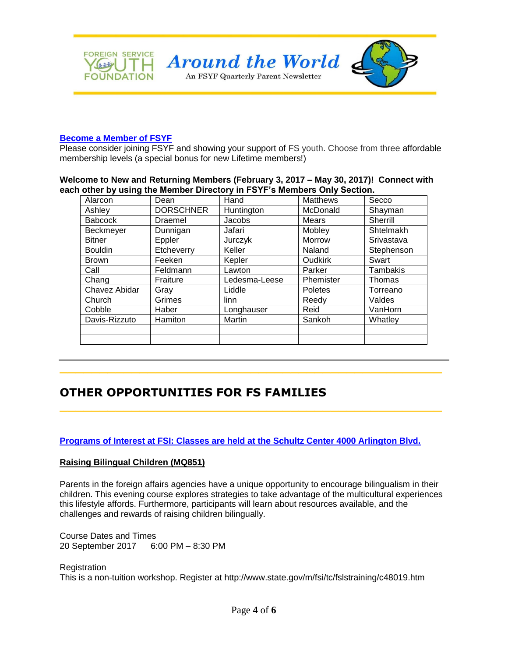

#### **[Become a Member of FSYF](http://fsyf.org/join-fsyf)**

Please consider joining FSYF and showing your support of FS youth. Choose from three affordable membership levels (a special bonus for new Lifetime members!)

#### **Welcome to New and Returning Members (February 3, 2017 – May 30, 2017)! Connect with each other by using the Member Directory in FSYF's Members Only Section.**

| Alarcon        | Dean             | Hand          | Matthews       | Secco         |
|----------------|------------------|---------------|----------------|---------------|
| Ashley         | <b>DORSCHNER</b> | Huntington    | McDonald       | Shayman       |
| <b>Babcock</b> | Draemel          | <b>Jacobs</b> | Mears          | Sherrill      |
| Beckmeyer      | Dunnigan         | Jafari        | Mobley         | Shtelmakh     |
| <b>Bitner</b>  | Eppler           | Jurczyk       | Morrow         | Srivastava    |
| <b>Bouldin</b> | Etcheverry       | Keller        | Naland         | Stephenson    |
| <b>Brown</b>   | Feeken           | Kepler        | <b>Oudkirk</b> | Swart         |
| Call           | Feldmann         | Lawton        | Parker         | Tambakis      |
| Chang          | Fraiture         | Ledesma-Leese | Phemister      | <b>Thomas</b> |
| Chavez Abidar  | Gray             | Liddle        | Poletes        | Torreano      |
| Church         | Grimes           | linn          | Reedy          | Valdes        |
| Cobble         | Haber            | Longhauser    | Reid           | VanHorn       |
| Davis-Rizzuto  | Hamiton          | Martin        | Sankoh         | Whatley       |
|                |                  |               |                |               |
|                |                  |               |                |               |

**\_\_\_\_\_\_\_\_\_\_\_\_\_\_\_\_\_\_\_\_\_\_\_\_\_\_\_\_\_\_\_\_\_\_\_\_\_\_\_\_\_\_\_\_\_\_\_\_**

**\_\_\_\_\_\_\_\_\_\_\_\_\_\_\_\_\_\_\_\_\_\_\_\_\_\_\_\_\_\_\_\_\_\_\_\_\_\_\_\_\_\_\_\_\_\_\_\_**

# **OTHER OPPORTUNITIES FOR FS FAMILIES**

### **[Programs of Interest at FSI: Classes are held at the Schultz Center 4000 Arlington Blvd.](http://www.state.gov/m/fsi/tc/fslstraining/searchbymonth/index.htm)**

#### **Raising Bilingual Children (MQ851)**

Parents in the foreign affairs agencies have a unique opportunity to encourage bilingualism in their children. This evening course explores strategies to take advantage of the multicultural experiences this lifestyle affords. Furthermore, participants will learn about resources available, and the challenges and rewards of raising children bilingually.

Course Dates and Times 20 September 2017 6:00 PM – 8:30 PM

**Registration** This is a non-tuition workshop. Register at http://www.state.gov/m/fsi/tc/fslstraining/c48019.htm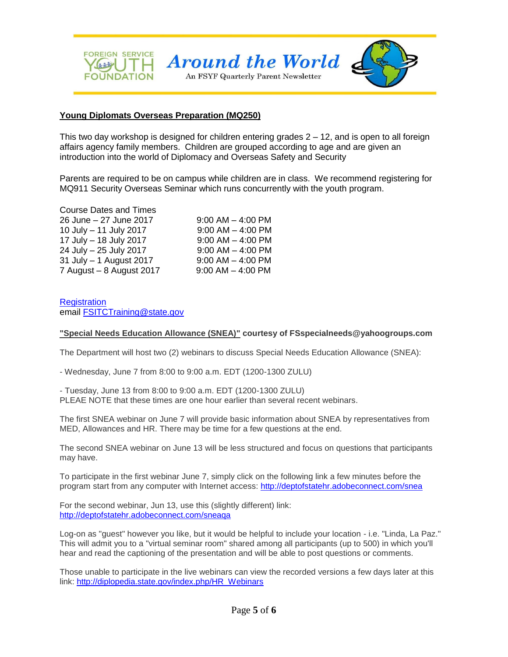

#### **Young Diplomats Overseas Preparation (MQ250)**

This two day workshop is designed for children entering grades  $2 - 12$ , and is open to all foreign affairs agency family members. Children are grouped according to age and are given an introduction into the world of Diplomacy and Overseas Safety and Security

Parents are required to be on campus while children are in class. We recommend registering for MQ911 Security Overseas Seminar which runs concurrently with the youth program.

| <b>Course Dates and Times</b> |                       |
|-------------------------------|-----------------------|
| 26 June - 27 June 2017        | $9:00$ AM $-$ 4:00 PM |
| 10 July - 11 July 2017        | $9:00$ AM $-$ 4:00 PM |
| 17 July - 18 July 2017        | $9:00$ AM $-$ 4:00 PM |
| 24 July - 25 July 2017        | $9:00$ AM $-$ 4:00 PM |
| 31 July - 1 August 2017       | $9:00$ AM $-$ 4:00 PM |
| 7 August $-8$ August 2017     | $9:00$ AM $-$ 4:00 PM |

**Registration** email [FSITCTraining@state.gov](mailto:FSITCTraining@state.gov)

#### **"Special Needs Education Allowance (SNEA)" courtesy of FSspecialneeds@yahoogroups.com**

The Department will host two (2) webinars to discuss Special Needs Education Allowance (SNEA):

- Wednesday, June 7 from 8:00 to 9:00 a.m. EDT (1200-1300 ZULU)

- Tuesday, June 13 from 8:00 to 9:00 a.m. EDT (1200-1300 ZULU) PLEAE NOTE that these times are one hour earlier than several recent webinars.

The first SNEA webinar on June 7 will provide basic information about SNEA by representatives from MED, Allowances and HR. There may be time for a few questions at the end.

The second SNEA webinar on June 13 will be less structured and focus on questions that participants may have.

To participate in the first webinar June 7, simply click on the following link a few minutes before the program start from any computer with Internet access:<http://deptofstatehr.adobeconnect.com/snea>

For the second webinar, Jun 13, use this (slightly different) link: <http://deptofstatehr.adobeconnect.com/sneaqa>

Log-on as "guest" however you like, but it would be helpful to include your location - i.e. "Linda, La Paz." This will admit you to a "virtual seminar room" shared among all participants (up to 500) in which you'll hear and read the captioning of the presentation and will be able to post questions or comments.

Those unable to participate in the live webinars can view the recorded versions a few days later at this link: [http://diplopedia.state.gov/index.php/HR\\_Webinars](http://diplopedia.state.gov/index.php/HR_Webinars)